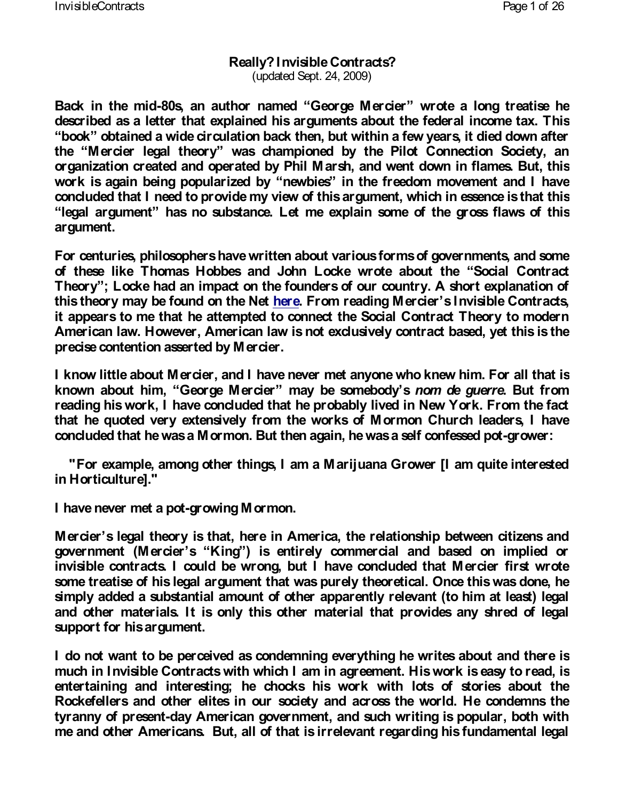#### Really? Invisible Contracts? (updated Sept. 24, 2009)

Back in the 80msid an author Geemonegle Merowineorte a long tr described as a letter that explained his arguments about book obtained a wide circulation back then, but within a the Mercier legal tweer championed by the Pilot Conne organization created and operated by Phil Marsh, and work is again being populewbied by he freedom movement concluded that I need to provide my view of this argume legal argum heartend substance. Let me explain some of argument.

For centuries, philosophers have written about various f of these like Thomas Hobbes and John Locksocwalot Got Theory Locke had an impact on the founders of our count this themoray be found the Inverte From reading Menoristible Contracts. it appears to me that he attempted to connect the Soci American law. However, American law is not exclusively precise contention asserted by Mercier.

I know little about Mercier, and I have never met anyor known about **Gieno**, rge Mer**ciar** be some boodyn de gue Bruet f reading his work, I have concluded that he probably live that he quoted very extensively from the works of Mor concluded that he was a Mormon. But then again, -grow were

"For example, among other things, I am a Marijuana in Horticulture]."

I have never m-**g**toawipnoot Mormon.

Mercierlegal theory is that, here in America, the relat government (MserKeing is entirely commercial and base invisible contracts. I could be wrong, but I have concl some treatise of his legal argument that was purely the simply added a substantial amount of other apparently and other materials. It is only this other material that support for his argument.

I do not want to be perceived as condemning everything much in Invisible Contracts with which I am in agreeme. entertaining and interesting; he chocks his work with Rockefellers and other elites in our society and across tyranny of p-deasyenAtmerican government, and such writing me and other Americans. But, all of that is irrelevant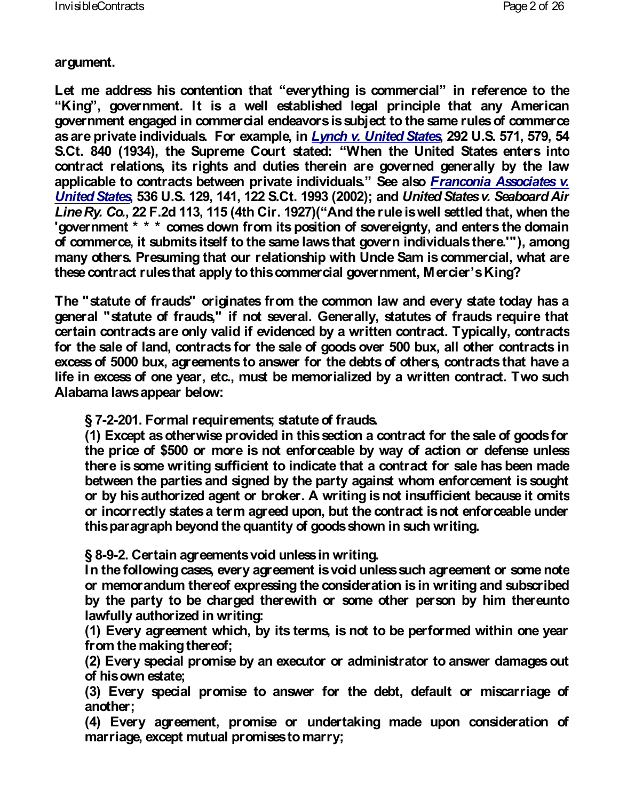argument.

Let me address his conteenvteiovnthat is commineernceiale rence King government. It is a well established legal prin government engaged in commercial endeavors is subject as are private individuals.  $E$  pm chox am  $\psi$  heit eigh  $250t$  2nd the S. 57<sup>.</sup> S.Ct. 840 (1934), the Supreme WCheurthset altered States contract relations, its rights and duties therein are q applicable to contracts between priSveaetealFsnoobinvicolualsAsso [United S](http://supreme.justia.com/us/536/129/case.html)tates U.S. 129, 141, 122 S.CtUni998  $$2002s$ )  $y.a6$ Line Ry.,  $Q\ddot{a}$ . F.2d 113, 115 (4th no dithe  $Q\ddot{a}$  and  $q\ddot{a}$  and the rule is well settled 'government \* \* \* comes down from its position of sover of commerce, it submits itself to the same laws that govern individuals there. many otherssuming that our relationship with Uncle San these contract rules that apply to this commers  $\frac{d}{dx}$  im  $\frac{d}{dx}$ 

The "statute of frauds" originates from the common lav general "statute of frauds," if not several. Generally, certain contracts are only valid if evidenced by a writte for the sale of land, contracts for the sale of goods ove excess of 5000 bux, agreements to answer for the debts life in excess of one year, etc., must be memorialized t Alabama laws appear below:

§ 7-2-201. Formal requirements; statute of frauds.  $(1)$  Except as otherwise provided in this section a co the price of  $$500$  or more is not enforceable by way there is some writing sufficient to indicate that a contract for sale  $\alpha$ between the parties and signed by the party against or by his authorized agent or broker. A writing is no or incorrectly states a term agreed upon, but the cont this paragraph beyond the quantity of goods shown in

§ 8-9-2. Certain agreements void unless in writing. In the following cases, every agreement is void unles or memorandum thereof expressing the consideration by the party to be charged therewith or some othe lawfully authorized in writing:

(1) Every agreement which, by its terms, is not to t from the making thereof;

(2) Every special promise by an executor or administ of his own estate;

 $(3)$  Every special promise to answer for the debt, another;

(4) Every agreement, promise or undertaking mac marriage, except mutual promises to marry;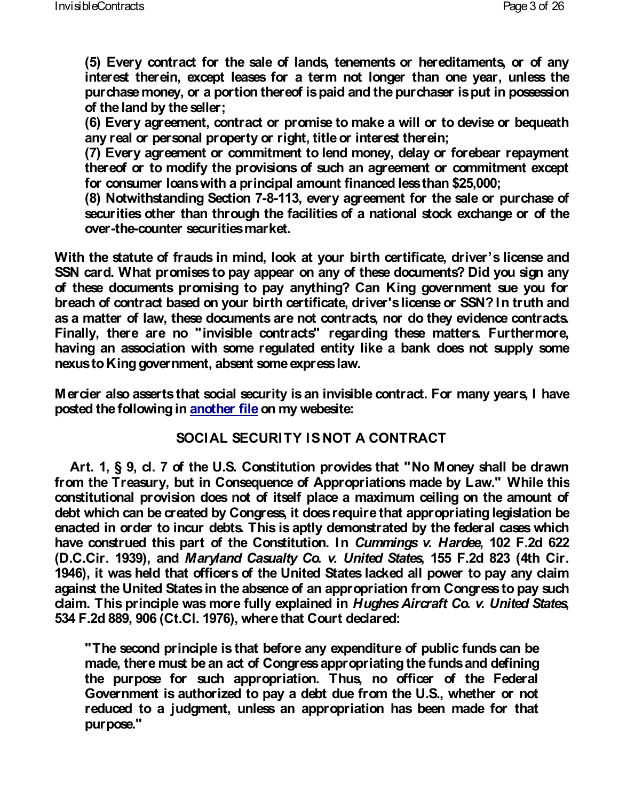$(5)$  Every contract for the sale of lands, tenements interest therein, except leases for a term not longer purchase money, or a portion thereof is paid and the of the land by the seller;

(6) Every agreement, contract or promise to make a any real or personal property or right, title or intere (7) Every agreement or commitment to lend money, delay or thereof or to modify the provisions of such an agree for consumer loans with a principal amount financed (8) Notwithstanding  $8\overline{3}$ d $\overline{3}$ , or  $\overline{q}$  agreement for the sale of  $\overline{3}$ securities other than through the facilities of a national ovethecounter securities market.

With the statute of frauds in mind, look at yous bicretrhse SSN card. What promises to pay appear on any of these of these documents promising to pay anything? Can Ki breach of contract based on your birth certificate, drive as a matter of law, these documents are not contracts, Finally, there are no "invisible contracts" regarding having an association with some regulated entity like nexus Ktong government, absent some express law.

Mercier also asserts that social security is an invisible posted the follownion  $\phi$  and  $\phi$  m  $\phi$  m webesite:

# SOCIAL SECURITY IS NOT A CONTRACT

Art. 1, § 9, cl. 7 of the U.S. Constitution provides from the Treasury, but in Consequence of Appropriations constitutional provision does not of itself place a maxi debt which can be created by Congress, it does require to enacted in order to incur debts. This is aptly demonstrated by  $\mathbf{r}$ have construed this part of the Cummstiint g sion. Hand Culle e F. 2 (D.C.Cir. 1939M) arguland Casualty Co. v., U1n5i5edF.Stdat&e33 1946), it was held that officers of the United States la against the United States in the absence of an appropriation claim. This principle was more fully  $q$ hes patine ad function v. 534 F.2d 889, 906 (Ct.Cl. 1976), where that Court declared

"The second principle is that before any expenditur $\epsilon$ made, there must be an act of Congress appropriating the purpose for such appropriation. Thus, no off Government is authorized to pay a debt due from the reduced to a judgment, unless an appropriation ha purpose."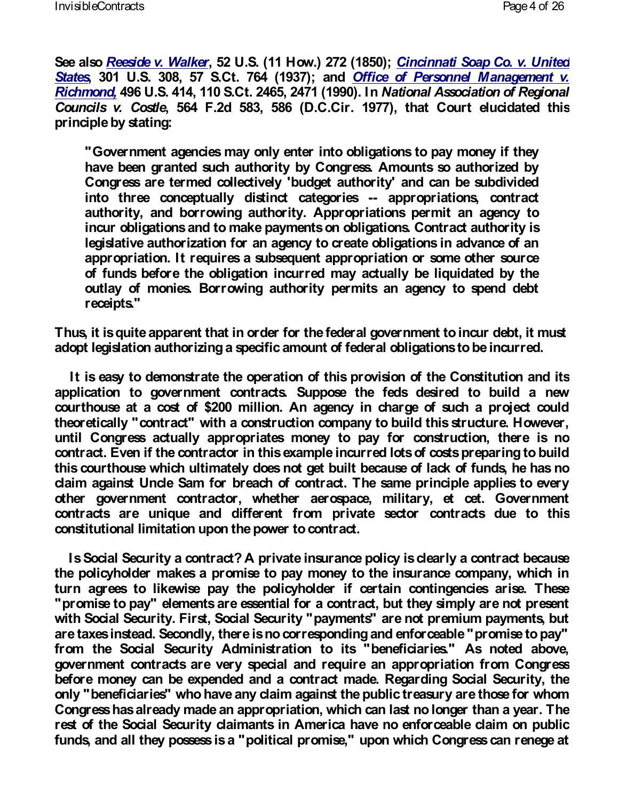See also eside v. W 52 & U.S. (11 How.) 27 Th 2 (n 188 0) Soap Co. <u>[Stat](http://supreme.justia.com/us/301/308/case.html)es 301 U.S. 308, 57 S.Ct. 764 fi(cle93b7l);Pearnsonnel Ma</u>  $Richm$ o<code>n4</code> $\mathcal Q$ ,6 U.S. 414, 110 S.Ct. 246 $\mathcal R$ , a  $\mathcal Q$ i/a Tall A $\mathcal S$ s $\mathcal Q$ o $\mathcal Q$ ialtinon Councils v.  $C$  5\$14 e F.2d 583, 586 (D.C.Cir. 1977), that principle by stating:

"Government agencies may only enter into obligatior have been granted such authority by Congress. Amo Congress are termed collectively 'budget authority' into three conceptually distinetapopartoegonicateisons, contractors authority, and borrowing authority. Appropriations incur obligations and to make payments on obligatior legislative authorization for an agency to create obl appropriation. It requires a subsequent appropriatic of funds before the obligation incurred may actuall outlay of monies. Borrowing authority permits an receipts."

Thus, it is quite apparent that in order for the federal  $\mathfrak c$ adopt legislation authorizing a specific amount of federal

It is easy to demonstrate the operation of this provi application to government contracts. Suppose the fed courthouse at a cost of \$200 million. An agency in ch theoretically "contract" with a construction company to until Congress actually appropriates money to pay for contract. Even if the contractor in this example incurred this courthouse which ultimately does not get built beca claim against Uncle Sam for breach of contract. The same other government contractor, whether aerospace, mil contracts are unique and different from private sec constitutional limitation upon the power to contract.

Is Social Security a contract? A private insurance pc the policyholder makes a promise to pay money to the turn agrees to likewise pay the policyholder if certal "promise to pay" elements are essential for a contract, with Social Security. First, Social Security "payments" are taxes instead. Secondly, there is no corresponding a from the Social Security Administration to its "bene government contracts are very special and require an before money can be expended and a contract made. Regarding only "beneficiaries" who have any claim against the public trans Congress has already made an appropriation, which can rest of the Social Security claimants in America have no funds, and all they possess is a "political promise," upo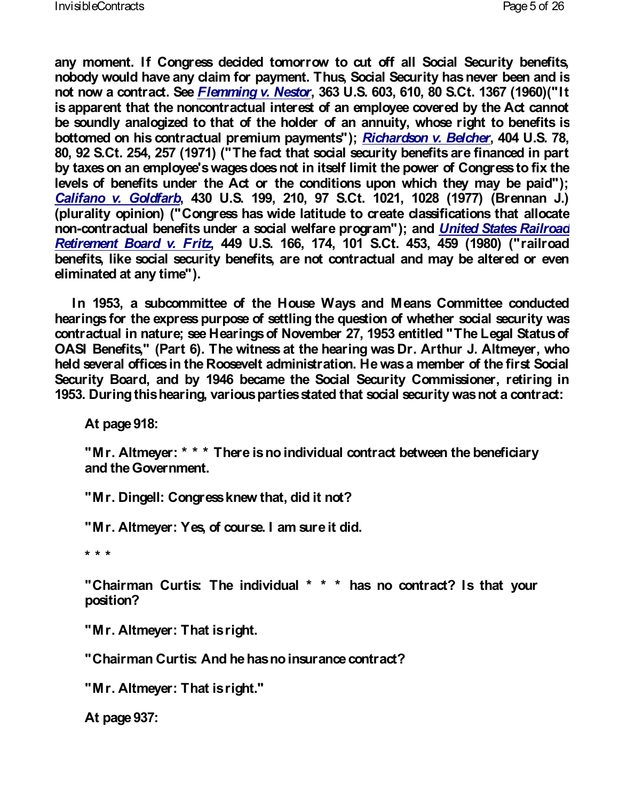any moment. If Congress decided tomorrow to cut off nobody would have any claim for payment. Thus, Social not now a contr $\bar{\mathbf{a}}$  dem $\hat{\mathbf{b}}$  and  $\mathbf{v}$ . Net  $\hat{\mathbf{a}}$  and  $\mathbf{S}$ . 603, 610, 80 S.C is apparent that the noncontractual interest of an emple be soundly analogized to that of the holder of an annu bottomed on his contractual premi $\overline{\text{R}}$ umah paghsmoonths", $\overline{\text{B}}$ ;40 $\alpha$ 4 eU. 80, 92 S.Ct. 254, 257 (1971) ("The fact that social sect by taxes on an employee's wages does not in itself limit levels of benefits under the Act or the conditions upon [Califano v. G](http://supreme.justia.com/us/430/199/case.html)ol480 bbl. S. 199, 210, 97 S.Ct. 1021, 10 (plurality opinion) ("Congress has wide latitude to create classifications of  $\epsilon$ noncontractual benefits under a social wellerrie endrogatens" [Retirement Board](http://supreme.justia.com/us/449/166/case.html),  $\sqrt{49}$  r $UzS$ . 166, 174, 101 S.Ct. 453, benefits, like social security benefits, are not contract eliminated at any time").

In 1953, a subcommittee of the House Ways and  $\blacksquare$ hearings for the express purpose of settling the question contractual in nature; see Hearings of November 27, 19 OASI Benefits," (Part 6). The witness at the hearing w held several offices in the Roosevelt administration. He Security Board, and by 1946 became the Social Security 1953. During this hearing, various parties stated that sc

At page 918:

"Mr. Altmeyer: \* \* \* There is no individual contract and the Government.

"Mr. Dingell: Congress knew that, did it not?

"Mr. Altmeyer: Yes, of course. I am sure it did.

\* \* \*

"Chairman Curtis: The individual \* \* \* has no contract position?

"Mr. Altmeyer: That is right.

"Chairman Curtis: And he has no insurance contract?

"Mr. Altmeyer: That is right."

At page 937: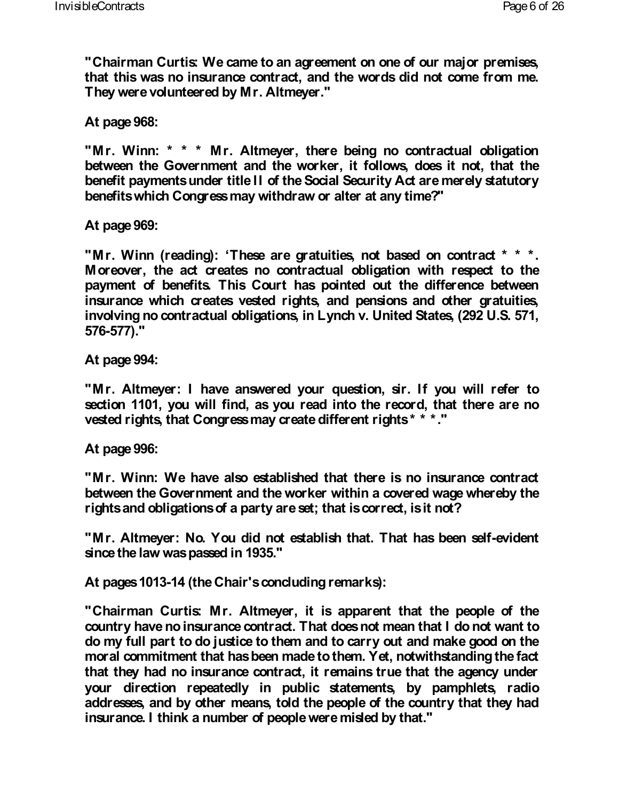**"Chairman Curtis: We came to an agreement on one of our major premises, that this was no insurance contract, and the words did not come from me. They were volunteered by Mr. Altmeyer."**

**At page 968:**

**"Mr. Winn: \* \* \* Mr. Altmeyer, there being no contractual obligation between the Government and the worker, it follows, does it not, that the benefit payments under title II of the Social Security Act are merely statutory benefits which Congress may withdraw or alter at any time?"**

**At page 969:**

**"Mr. Winn (reading): 'These are gratuities, not based on contract \* \* \*. Moreover, the act creates no contractual obligation with respect to the payment of benefits. This Court has pointed out the difference between insurance which creates vested rights, and pensions and other gratuities, involving no contractual obligations, in Lynch v. United States, (292 U.S. 571, 576-577)."**

**At page 994:**

**"Mr. Altmeyer: I have answered your question, sir. If you will refer to section 1101, you will find, as you read into the record, that there are no vested rights, that Congress may create different rights \* \* \*."**

### **At page 996:**

**"Mr. Winn: We have also established that there is no insurance contract between the Government and the worker within a covered wage whereby the rights and obligations of a party are set; that is correct, is it not?**

**"Mr. Altmeyer: No. You did not establish that. That has been self-evident since the law was passed in 1935."**

**At pages 1013-14 (the Chair's concluding remarks):**

**"Chairman Curtis: Mr. Altmeyer, it is apparent that the people of the country have no insurance contract. That does not mean that I do not want to do my full part to do justice to them and to carry out and make good on the moral commitment that has been made to them. Yet, notwithstanding the fact that they had no insurance contract, it remains true that the agency under your direction repeatedly in public statements, by pamphlets, radio addresses, and by other means, told the people of the country that they had insurance. I think a number of people were misled by that."**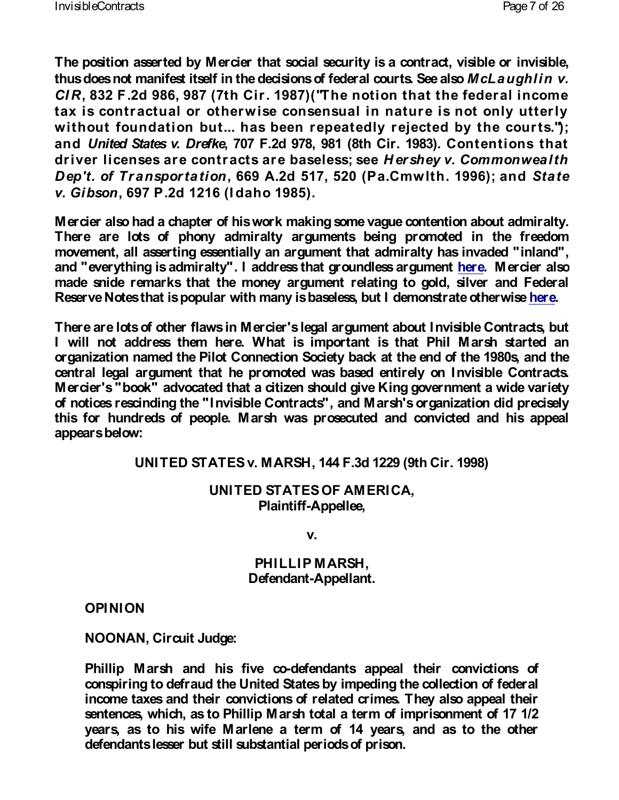The position asserted by Mercier that social security is thus does not manifest itself in the decisions **MfcLeade ga**nlli CIR 832 F.2d 986, 987 (7th  $F$  Corn of  $(987)$  (hat the federal incomendation of  $F$ tax is contractual or otherwise consensual in nat without foundation but... has been repeatedly re andUnited States v. 700r7efRe2d 978, 981 (8t6 o Od itrent D&B\$ driver licenses are contracts are dorasheely es; Geneamon  $Dep't.$  of  $Transport6669$   $On.2d 517$ ,  $520$  (Pa.Cmwl $Sha$ v. Gibso $\frac{0.97 \cdot P.2d}{1216}$  (I daho 1985).

Mercier also had a chapter of his work making some vag There are lots of phony admiralty arguments being movement, all asserting essentially an argument that admiralty and "everything is admiralty". I address that eigen o Mored being made snide remarks that the money argument relating Reserve Notes that is popular with many is baseless, hbue

There are lots of other flaws in Mercier's legal argumer I will not address them here. What is important is organization named the Pilot Connection Society back a central legal argument that he promoted winsvibiableed Ceon Mercier's "book" advocated that a citizen should give K of notices rescindling ishede Contracts", and Marsh's organization this for hundreds of people. Marsh was prosecuted ar appears below:

UNITED STATES v. MARSH, 144 F.3d 1229 (9th

UNITED STATES OF AMERICA, Plaint Afp<sub>pellee</sub>,

v.

PHILLIP MARSH, Defend<del>a</del>ndpellant.

OPINION

NOONAN, Circuit Judge:

Phillip Marsh and his effendants appeal their conv conspiring to defraud the United States by impeding income taxes and their convictions of related crimes. sentences, which, as to Phillip Marsh total a term of years, as to his wife Marlene a term of 14 years defendants lesser but still substantial periods of pris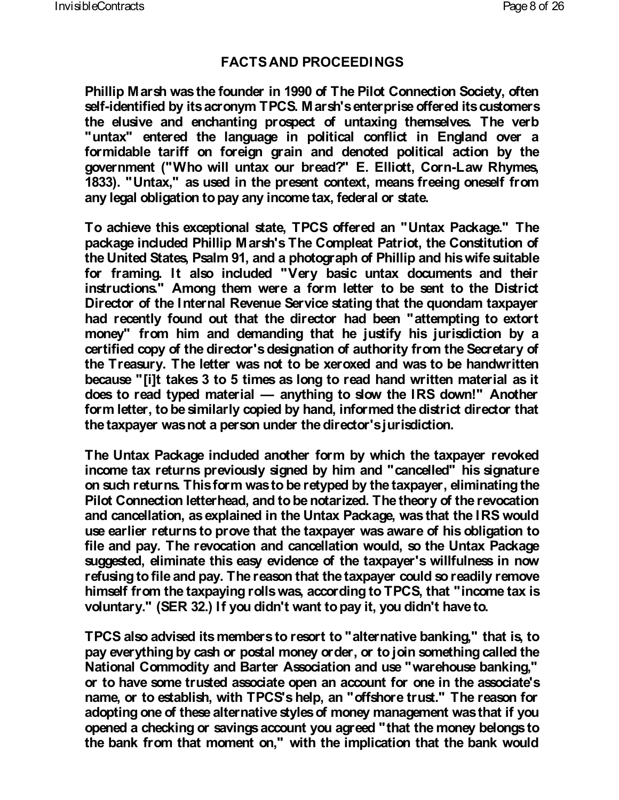## **FACTS AND PROCEEDINGS**

**Phillip Marsh was the founder in 1990 of The Pilot Connection Society, often self-identified by its acronym TPCS. Marsh's enterprise offered its customers the elusive and enchanting prospect of untaxing themselves. The verb "untax" entered the language in political conflict in England over a formidable tariff on foreign grain and denoted political action by the government ("Who will untax our bread?" E. Elliott, Corn-Law Rhymes, 1833). "Untax," as used in the present context, means freeing oneself from any legal obligation to pay any income tax, federal or state.**

**To achieve this exceptional state, TPCS offered an "Untax Package." The package included Phillip Marsh's The Compleat Patriot, the Constitution of the United States, Psalm 91, and a photograph of Phillip and his wife suitable for framing. It also included "Very basic untax documents and their instructions." Among them were a form letter to be sent to the District Director of the Internal Revenue Service stating that the quondam taxpayer had recently found out that the director had been "attempting to extort money" from him and demanding that he justify his jurisdiction by a certified copy of the director's designation of authority from the Secretary of the Treasury. The letter was not to be xeroxed and was to be handwritten because "[i]t takes 3 to 5 times as long to read hand written material as it does to read typed material — anything to slow the IRS down!" Another form letter, to be similarly copied by hand, informed the district director that the taxpayer was not a person under the director's jurisdiction.**

**The Untax Package included another form by which the taxpayer revoked income tax returns previously signed by him and "cancelled" his signature on such returns. This form was to be retyped by the taxpayer, eliminating the Pilot Connection letterhead, and to be notarized. The theory of the revocation and cancellation, as explained in the Untax Package, was that the IRS would use earlier returns to prove that the taxpayer was aware of his obligation to file and pay. The revocation and cancellation would, so the Untax Package suggested, eliminate this easy evidence of the taxpayer's willfulness in now refusing to file and pay. The reason that the taxpayer could so readily remove himself from the taxpaying rolls was, according to TPCS, that "income tax is voluntary." (SER 32.) If you didn't want to pay it, you didn't have to.**

**TPCS also advised its members to resort to "alternative banking," that is, to pay everything by cash or postal money order, or to join something called the National Commodity and Barter Association and use "warehouse banking," or to have some trusted associate open an account for one in the associate's name, or to establish, with TPCS's help, an "offshore trust." The reason for adopting one of these alternative styles of money management was that if you opened a checking or savings account you agreed "that the money belongs to the bank from that moment on," with the implication that the bank would**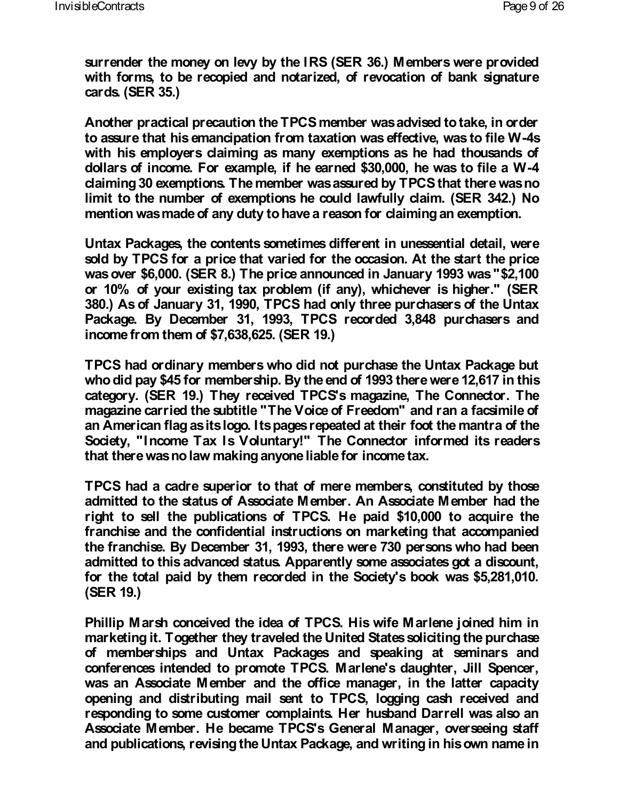**surrender the money on levy by the IRS (SER 36.) Members were provided with forms, to be recopied and notarized, of revocation of bank signature cards. (SER 35.)**

**Another practical precaution the TPCS member was advised to take, in order to assure that his emancipation from taxation was effective, was to file W-4s with his employers claiming as many exemptions as he had thousands of dollars of income. For example, if he earned \$30,000, he was to file a W-4 claiming 30 exemptions. The member was assured by TPCS that there was no limit to the number of exemptions he could lawfully claim. (SER 342.) No mention was made of any duty to have a reason for claiming an exemption.**

**Untax Packages, the contents sometimes different in unessential detail, were sold by TPCS for a price that varied for the occasion. At the start the price was over \$6,000. (SER 8.) The price announced in January 1993 was "\$2,100 or 10% of your existing tax problem (if any), whichever is higher." (SER 380.) As of January 31, 1990, TPCS had only three purchasers of the Untax Package. By December 31, 1993, TPCS recorded 3,848 purchasers and income from them of \$7,638,625. (SER 19.)**

**TPCS had ordinary members who did not purchase the Untax Package but who did pay \$45 for membership. By the end of 1993 there were 12,617 in this category. (SER 19.) They received TPCS's magazine, The Connector. The magazine carried the subtitle "The Voice of Freedom" and ran a facsimile of an American flag as its logo. Its pages repeated at their foot the mantra of the Society, "Income Tax Is Voluntary!" The Connector informed its readers that there was no law making anyone liable for income tax.**

**TPCS had a cadre superior to that of mere members, constituted by those admitted to the status of Associate Member. An Associate Member had the right to sell the publications of TPCS. He paid \$10,000 to acquire the franchise and the confidential instructions on marketing that accompanied the franchise. By December 31, 1993, there were 730 persons who had been admitted to this advanced status. Apparently some associates got a discount, for the total paid by them recorded in the Society's book was \$5,281,010. (SER 19.)**

**Phillip Marsh conceived the idea of TPCS. His wife Marlene joined him in marketing it. Together they traveled the United States soliciting the purchase of memberships and Untax Packages and speaking at seminars and conferences intended to promote TPCS. Marlene's daughter, Jill Spencer, was an Associate Member and the office manager, in the latter capacity opening and distributing mail sent to TPCS, logging cash received and responding to some customer complaints. Her husband Darrell was also an Associate Member. He became TPCS's General Manager, overseeing staff and publications, revising the Untax Package, and writing in his own name in**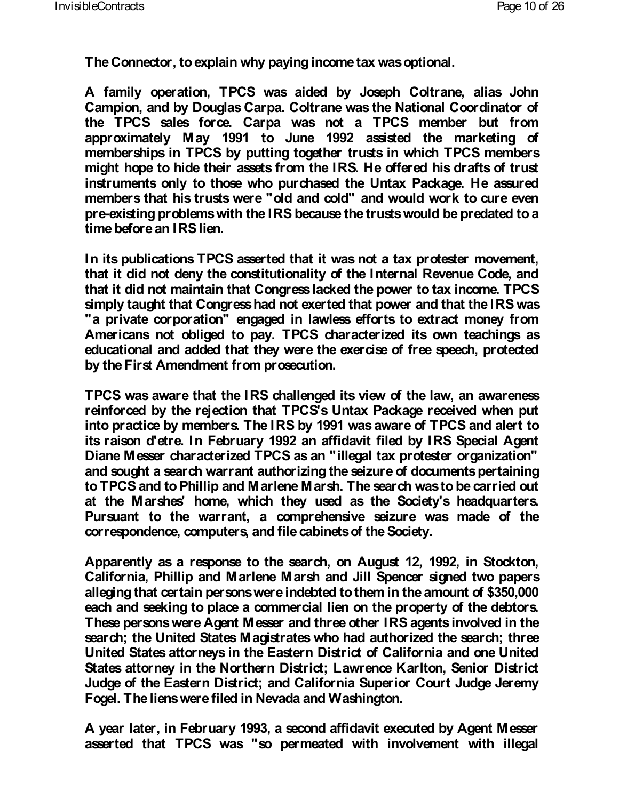**The Connector, to explain why paying income tax was optional.**

**A family operation, TPCS was aided by Joseph Coltrane, alias John Campion, and by Douglas Carpa. Coltrane was the National Coordinator of the TPCS sales force. Carpa was not a TPCS member but from approximately May 1991 to June 1992 assisted the marketing of memberships in TPCS by putting together trusts in which TPCS members might hope to hide their assets from the IRS. He offered his drafts of trust instruments only to those who purchased the Untax Package. He assured members that his trusts were "old and cold" and would work to cure even pre-existing problems with the IRS because the trusts would be predated to a time before an IRS lien.**

**In its publications TPCS asserted that it was not a tax protester movement, that it did not deny the constitutionality of the Internal Revenue Code, and that it did not maintain that Congress lacked the power to tax income. TPCS simply taught that Congress had not exerted that power and that the IRS was "a private corporation" engaged in lawless efforts to extract money from Americans not obliged to pay. TPCS characterized its own teachings as educational and added that they were the exercise of free speech, protected by the First Amendment from prosecution.**

**TPCS was aware that the IRS challenged its view of the law, an awareness reinforced by the rejection that TPCS's Untax Package received when put into practice by members. The IRS by 1991 was aware of TPCS and alert to its raison d'etre. In February 1992 an affidavit filed by IRS Special Agent Diane Messer characterized TPCS as an "illegal tax protester organization" and sought a search warrant authorizing the seizure of documents pertaining to TPCS and to Phillip and Marlene Marsh. The search was to be carried out at the Marshes' home, which they used as the Society's headquarters. Pursuant to the warrant, a comprehensive seizure was made of the correspondence, computers, and file cabinets of the Society.**

**Apparently as a response to the search, on August 12, 1992, in Stockton, California, Phillip and Marlene Marsh and Jill Spencer signed two papers alleging that certain persons were indebted to them in the amount of \$350,000 each and seeking to place a commercial lien on the property of the debtors. These persons were Agent Messer and three other IRS agents involved in the search; the United States Magistrates who had authorized the search; three United States attorneys in the Eastern District of California and one United States attorney in the Northern District; Lawrence Karlton, Senior District Judge of the Eastern District; and California Superior Court Judge Jeremy Fogel. The liens were filed in Nevada and Washington.**

**A year later, in February 1993, a second affidavit executed by Agent Messer asserted that TPCS was "so permeated with involvement with illegal**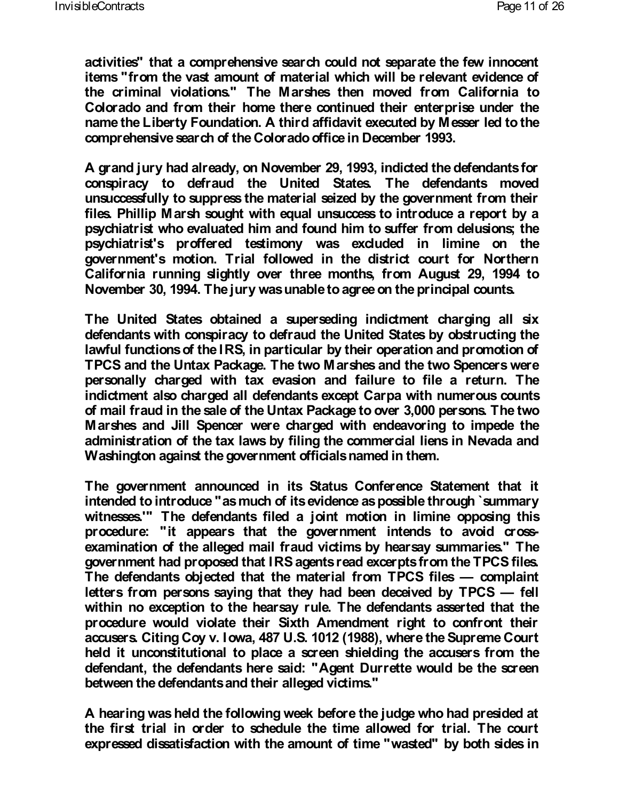**activities" that a comprehensive search could not separate the few innocent items "from the vast amount of material which will be relevant evidence of the criminal violations." The Marshes then moved from California to Colorado and from their home there continued their enterprise under the name the Liberty Foundation. A third affidavit executed by Messer led to the comprehensive search of the Colorado office in December 1993.**

**A grand jury had already, on November 29, 1993, indicted the defendants for conspiracy to defraud the United States. The defendants moved unsuccessfully to suppress the material seized by the government from their files. Phillip Marsh sought with equal unsuccess to introduce a report by a psychiatrist who evaluated him and found him to suffer from delusions; the psychiatrist's proffered testimony was excluded in limine on the government's motion. Trial followed in the district court for Northern California running slightly over three months, from August 29, 1994 to November 30, 1994. The jury was unable to agree on the principal counts.**

**The United States obtained a superseding indictment charging all six defendants with conspiracy to defraud the United States by obstructing the lawful functions of the IRS, in particular by their operation and promotion of TPCS and the Untax Package. The two Marshes and the two Spencers were personally charged with tax evasion and failure to file a return. The indictment also charged all defendants except Carpa with numerous counts of mail fraud in the sale of the Untax Package to over 3,000 persons. The two Marshes and Jill Spencer were charged with endeavoring to impede the administration of the tax laws by filing the commercial liens in Nevada and Washington against the government officials named in them.**

**The government announced in its Status Conference Statement that it intended to introduce "as much of its evidence as possible through `summary witnesses.'" The defendants filed a joint motion in limine opposing this procedure: "it appears that the government intends to avoid crossexamination of the alleged mail fraud victims by hearsay summaries." The government had proposed that IRS agents read excerpts from the TPCS files. The defendants objected that the material from TPCS files — complaint letters from persons saying that they had been deceived by TPCS — fell within no exception to the hearsay rule. The defendants asserted that the procedure would violate their Sixth Amendment right to confront their accusers. Citing Coy v. Iowa, 487 U.S. 1012 (1988), where the Supreme Court held it unconstitutional to place a screen shielding the accusers from the defendant, the defendants here said: "Agent Durrette would be the screen between the defendants and their alleged victims."**

**A hearing was held the following week before the judge who had presided at the first trial in order to schedule the time allowed for trial. The court expressed dissatisfaction with the amount of time "wasted" by both sides in**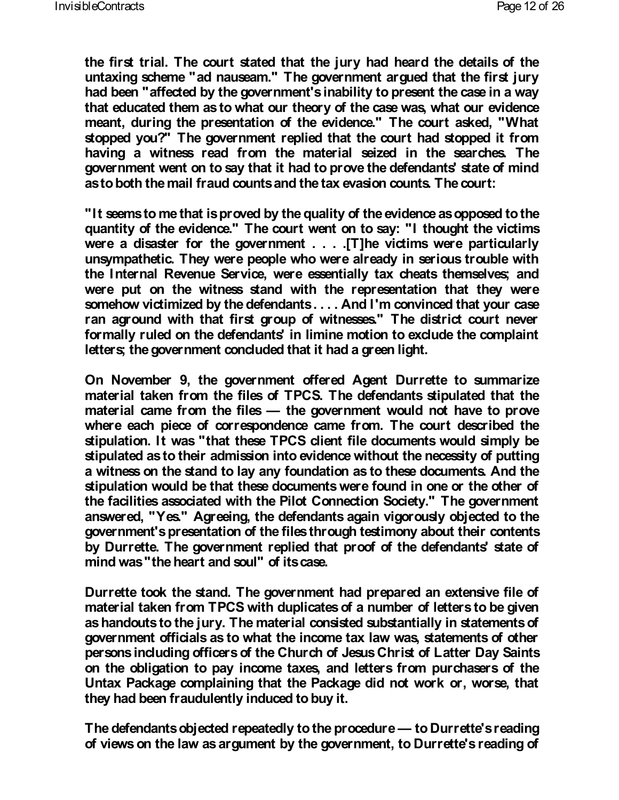**the first trial. The court stated that the jury had heard the details of the untaxing scheme "ad nauseam." The government argued that the first jury had been "affected by the government's inability to present the case in a way that educated them as to what our theory of the case was, what our evidence meant, during the presentation of the evidence." The court asked, "What stopped you?" The government replied that the court had stopped it from having a witness read from the material seized in the searches. The government went on to say that it had to prove the defendants' state of mind as to both the mail fraud counts and the tax evasion counts. The court:**

**"It seems to me that is proved by the quality of the evidence as opposed to the quantity of the evidence." The court went on to say: "I thought the victims were a disaster for the government . . . .[T]he victims were particularly unsympathetic. They were people who were already in serious trouble with the Internal Revenue Service, were essentially tax cheats themselves; and were put on the witness stand with the representation that they were somehow victimized by the defendants . . . . And I'm convinced that your case ran aground with that first group of witnesses." The district court never formally ruled on the defendants' in limine motion to exclude the complaint letters; the government concluded that it had a green light.**

**On November 9, the government offered Agent Durrette to summarize material taken from the files of TPCS. The defendants stipulated that the material came from the files — the government would not have to prove where each piece of correspondence came from. The court described the stipulation. It was "that these TPCS client file documents would simply be stipulated as to their admission into evidence without the necessity of putting a witness on the stand to lay any foundation as to these documents. And the stipulation would be that these documents were found in one or the other of the facilities associated with the Pilot Connection Society." The government answered, "Yes." Agreeing, the defendants again vigorously objected to the government's presentation of the files through testimony about their contents by Durrette. The government replied that proof of the defendants' state of mind was "the heart and soul" of its case.**

**Durrette took the stand. The government had prepared an extensive file of material taken from TPCS with duplicates of a number of letters to be given as handouts to the jury. The material consisted substantially in statements of government officials as to what the income tax law was, statements of other persons including officers of the Church of Jesus Christ of Latter Day Saints on the obligation to pay income taxes, and letters from purchasers of the Untax Package complaining that the Package did not work or, worse, that they had been fraudulently induced to buy it.**

**The defendants objected repeatedly to the procedure— to Durrette's reading of views on the law as argument by the government, to Durrette's reading of**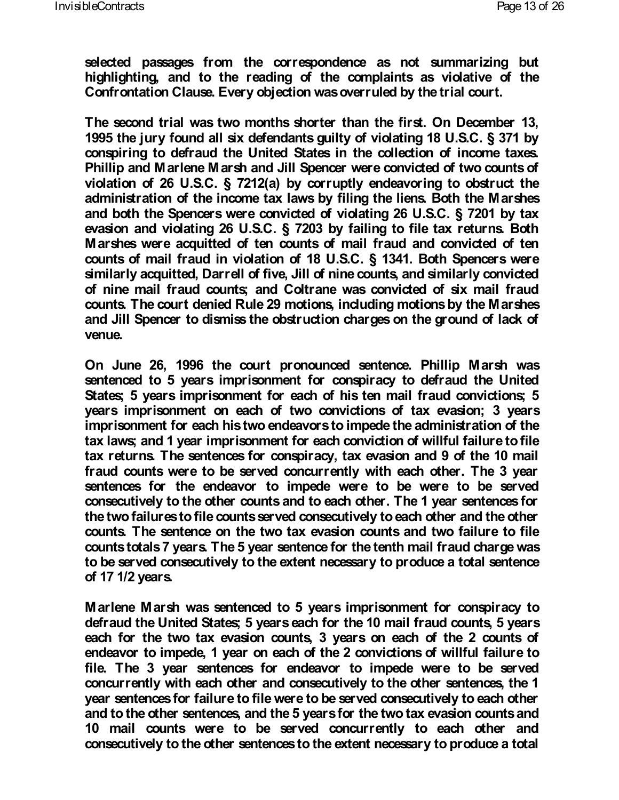**selected passages from the correspondence as not summarizing but highlighting, and to the reading of the complaints as violative of the Confrontation Clause. Every objection was overruled by the trial court.**

**The second trial was two months shorter than the first. On December 13, 1995 the jury found all six defendants guilty of violating 18 U.S.C. § 371 by conspiring to defraud the United States in the collection of income taxes. Phillip and Marlene Marsh and Jill Spencer were convicted of two counts of violation of 26 U.S.C. § 7212(a) by corruptly endeavoring to obstruct the administration of the income tax laws by filing the liens. Both the Marshes and both the Spencers were convicted of violating 26 U.S.C. § 7201 by tax evasion and violating 26 U.S.C. § 7203 by failing to file tax returns. Both Marshes were acquitted of ten counts of mail fraud and convicted of ten counts of mail fraud in violation of 18 U.S.C. § 1341. Both Spencers were similarly acquitted, Darrell of five, Jill of nine counts, and similarly convicted of nine mail fraud counts; and Coltrane was convicted of six mail fraud counts. The court denied Rule 29 motions, including motions by the Marshes and Jill Spencer to dismiss the obstruction charges on the ground of lack of venue.**

**On June 26, 1996 the court pronounced sentence. Phillip Marsh was sentenced to 5 years imprisonment for conspiracy to defraud the United States; 5 years imprisonment for each of his ten mail fraud convictions; 5 years imprisonment on each of two convictions of tax evasion; 3 years imprisonment for each his two endeavors to impede the administration of the tax laws; and 1 year imprisonment for each conviction of willful failure to file tax returns. The sentences for conspiracy, tax evasion and 9 of the 10 mail fraud counts were to be served concurrently with each other. The 3 year sentences for the endeavor to impede were to be were to be served consecutively to the other counts and to each other. The 1 year sentences for the two failures to file counts served consecutively to each other and the other counts. The sentence on the two tax evasion counts and two failure to file counts totals 7 years. The 5 year sentence for the tenth mail fraud charge was to be served consecutively to the extent necessary to produce a total sentence of 17 1/2 years.**

**Marlene Marsh was sentenced to 5 years imprisonment for conspiracy to defraud the United States; 5 years each for the 10 mail fraud counts, 5 years each for the two tax evasion counts, 3 years on each of the 2 counts of endeavor to impede, 1 year on each of the 2 convictions of willful failure to file. The 3 year sentences for endeavor to impede were to be served concurrently with each other and consecutively to the other sentences, the 1 year sentences for failure to file were to be served consecutively to each other and to the other sentences, and the 5 years for the two tax evasion counts and 10 mail counts were to be served concurrently to each other and consecutively to the other sentences to the extent necessary to produce a total**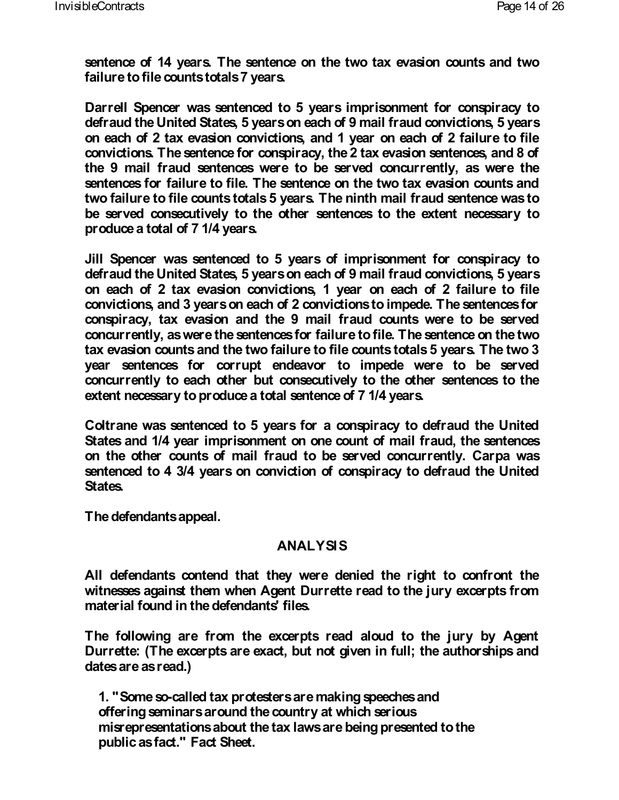**sentence of 14 years. The sentence on the two tax evasion counts and two failure to file counts totals 7 years.**

**Darrell Spencer was sentenced to 5 years imprisonment for conspiracy to defraud the United States, 5 years on each of 9 mail fraud convictions, 5 years on each of 2 tax evasion convictions, and 1 year on each of 2 failure to file convictions. The sentence for conspiracy, the 2 tax evasion sentences, and 8 of the 9 mail fraud sentences were to be served concurrently, as were the sentences for failure to file. The sentence on the two tax evasion counts and two failure to file counts totals 5 years. The ninth mail fraud sentence was to be served consecutively to the other sentences to the extent necessary to produce a total of 7 1/4 years.**

**Jill Spencer was sentenced to 5 years of imprisonment for conspiracy to defraud the United States, 5 years on each of 9 mail fraud convictions, 5 years on each of 2 tax evasion convictions, 1 year on each of 2 failure to file convictions, and 3 years on each of 2 convictions to impede. The sentences for conspiracy, tax evasion and the 9 mail fraud counts were to be served concurrently, as were the sentences for failure to file. The sentence on the two tax evasion counts and the two failure to file counts totals 5 years. The two 3 year sentences for corrupt endeavor to impede were to be served concurrently to each other but consecutively to the other sentences to the extent necessary to produce a total sentence of 7 1/4 years.**

**Coltrane was sentenced to 5 years for a conspiracy to defraud the United States and 1/4 year imprisonment on one count of mail fraud, the sentences on the other counts of mail fraud to be served concurrently. Carpa was sentenced to 4 3/4 years on conviction of conspiracy to defraud the United States.**

**The defendants appeal.**

### **ANALYSIS**

**All defendants contend that they were denied the right to confront the witnesses against them when Agent Durrette read to the jury excerpts from material found in the defendants' files.**

**The following are from the excerpts read aloud to the jury by Agent Durrette: (The excerpts are exact, but not given in full; the authorships and dates are as read.)**

 **1. "Some so-called tax protesters are making speeches and offering seminars around the country at which serious misrepresentations about the tax laws are being presented to the public as fact." Fact Sheet.**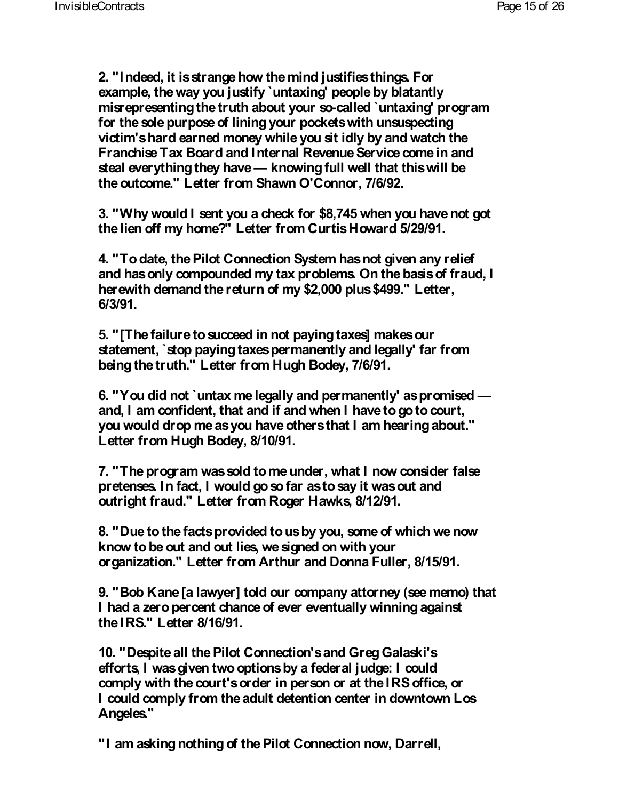**2. "Indeed, it is strange how the mind justifies things. For example, the way you justify `untaxing' people by blatantly misrepresenting the truth about your so-called `untaxing' program for the sole purpose of lining your pockets with unsuspecting victim's hard earned money while you sit idly by and watch the Franchise Tax Board and Internal Revenue Service come in and steal everything they have— knowing full well that this will be the outcome." Letter from Shawn O'Connor, 7/6/92.**

 **3. "Why would I sent you a check for \$8,745 when you have not got the lien off my home?" Letter from Curtis Howard 5/29/91.**

 **4. "To date, the Pilot Connection System has not given any relief and has only compounded my tax problems. On the basis of fraud, I herewith demand the return of my \$2,000 plus \$499." Letter, 6/3/91.**

 **5. "[The failure to succeed in not paying taxes] makes our statement, `stop paying taxes permanently and legally' far from being the truth." Letter from Hugh Bodey, 7/6/91.**

 **6. "You did not `untax me legally and permanently' as promised and, I am confident, that and if and when I have to go to court, you would drop me as you have others that I am hearing about." Letter from Hugh Bodey, 8/10/91.**

 **7. "The program was sold to me under, what I now consider false pretenses. In fact, I would go so far as to say it was out and outright fraud." Letter from Roger Hawks, 8/12/91.**

 **8. "Due to the facts provided to us by you, some of which we now know to be out and out lies, we signed on with your organization." Letter from Arthur and Donna Fuller, 8/15/91.**

 **9. "Bob Kane [a lawyer] told our company attorney (see memo) that I had a zero percent chance of ever eventually winning against the IRS." Letter 8/16/91.**

 **10. "Despite all the Pilot Connection's and Greg Galaski's efforts, I was given two options by a federal judge: I could comply with the court's order in person or at the IRS office, or I could comply from the adult detention center in downtown Los Angeles."**

 **"I am asking nothing of the Pilot Connection now, Darrell,**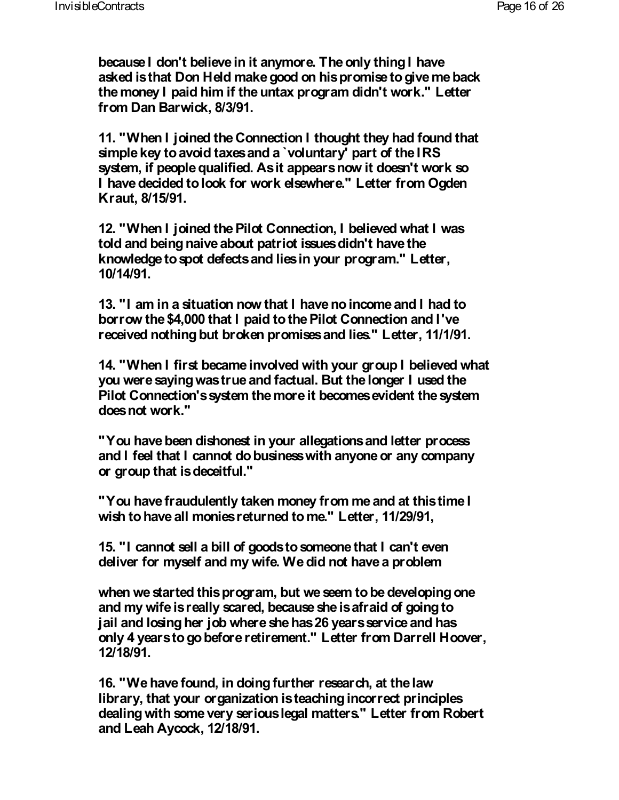**because I don't believe in it anymore. The only thing I have asked is that Don Held make good on his promise to give me back the money I paid him if the untax program didn't work." Letter from Dan Barwick, 8/3/91.**

 **11. "When I joined the Connection I thought they had found that simple key to avoid taxes and a `voluntary' part of the IRS system, if people qualified. As it appears now it doesn't work so I have decided to look for work elsewhere." Letter from Ogden Kraut, 8/15/91.**

 **12. "When I joined the Pilot Connection, I believed what I was told and being naive about patriot issues didn't have the knowledge to spot defects and lies in your program." Letter, 10/14/91.**

 **13. "I am in a situation now that I have no income and I had to borrow the \$4,000 that I paid to the Pilot Connection and I've received nothing but broken promises and lies." Letter, 11/1/91.**

 **14. "When I first became involved with your group I believed what you were saying was true and factual. But the longer I used the Pilot Connection's system the more it becomes evident the system does not work."**

 **"You have been dishonest in your allegations and letter process and I feel that I cannot do business with anyone or any company or group that is deceitful."**

 **"You have fraudulently taken money from me and at this time I wish to have all monies returned to me." Letter, 11/29/91,**

 **15. "I cannot sell a bill of goods to someone that I can't even deliver for myself and my wife. We did not have a problem**

 **when we started this program, but we seem to be developing one and my wife is really scared, because she is afraid of going to jail and losing her job where she has 26 years service and has only 4 years to go before retirement." Letter from Darrell Hoover, 12/18/91.**

 **16. "We have found, in doing further research, at the law library, that your organization is teaching incorrect principles dealing with some very serious legal matters." Letter from Robert and Leah Aycock, 12/18/91.**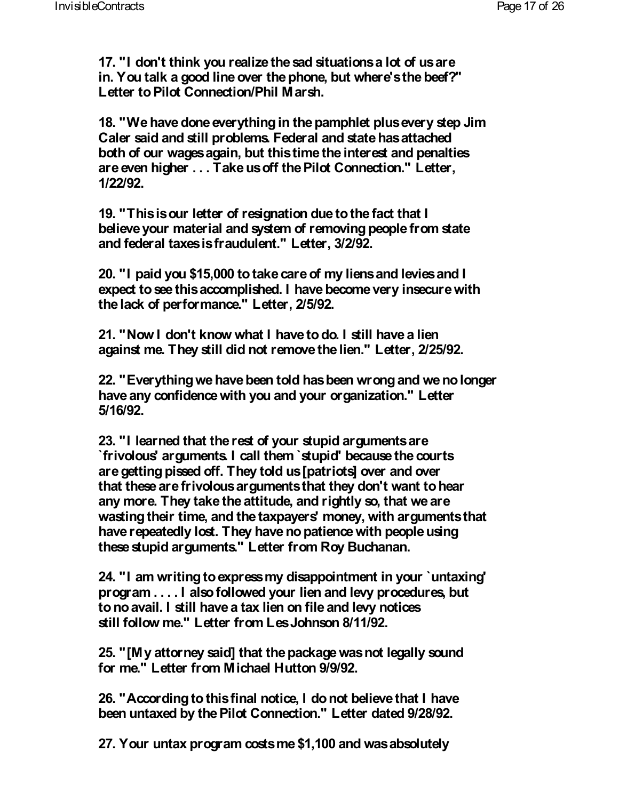**17. "I don't think you realize the sad situations a lot of us are in. You talk a good line over the phone, but where's the beef?" Letter to Pilot Connection/Phil Marsh.**

 **18. "We have done everything in the pamphlet plus every step Jim Caler said and still problems. Federal and state has attached both of our wages again, but this time the interest and penalties are even higher . . . Take us off the Pilot Connection." Letter, 1/22/92.**

 **19. "This is our letter of resignation due to the fact that I believe your material and system of removing people from state and federal taxes is fraudulent." Letter, 3/2/92.**

 **20. "I paid you \$15,000 to take care of my liens and levies and I expect to see this accomplished. I have become very insecure with the lack of performance." Letter, 2/5/92.**

 **21. "Now I don't know what I have to do. I still have a lien against me. They still did not remove the lien." Letter, 2/25/92.**

 **22. "Everything we have been told has been wrong and we no longer have any confidence with you and your organization." Letter 5/16/92.**

 **23. "I learned that the rest of your stupid arguments are `frivolous' arguments. I call them `stupid' because the courts are getting pissed off. They told us [patriots] over and over that these are frivolous arguments that they don't want to hear any more. They take the attitude, and rightly so, that we are wasting their time, and the taxpayers' money, with arguments that have repeatedly lost. They have no patience with people using these stupid arguments." Letter from Roy Buchanan.**

 **24. "I am writing to express my disappointment in your `untaxing' program . . . . I also followed your lien and levy procedures, but to no avail. I still have a tax lien on file and levy notices still follow me." Letter from Les Johnson 8/11/92.**

 **25. "[My attorney said] that the package was not legally sound for me." Letter from Michael Hutton 9/9/92.**

 **26. "According to this final notice, I do not believe that I have been untaxed by the Pilot Connection." Letter dated 9/28/92.**

 **27. Your untax program costs me \$1,100 and was absolutely**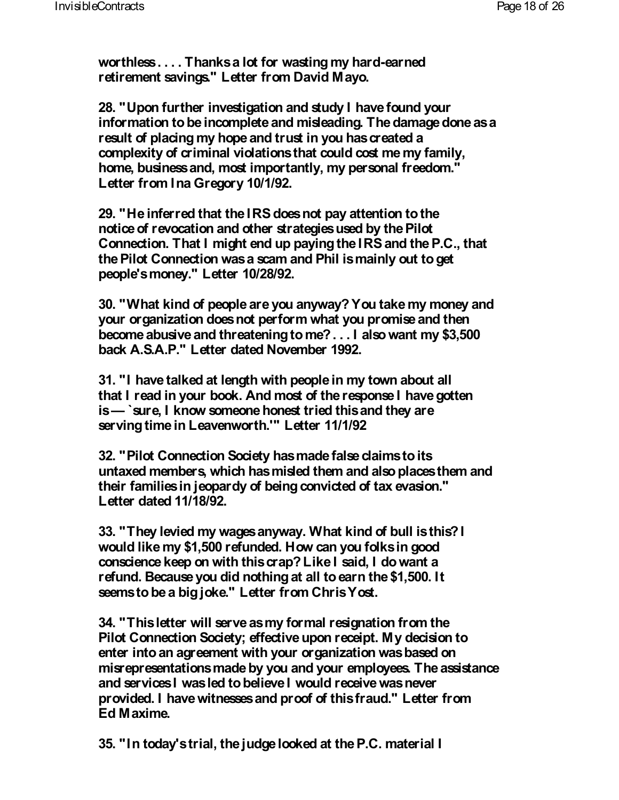**worthless . . . . Thanks a lot for wasting my hard-earned retirement savings." Letter from David Mayo.**

 **28. "Upon further investigation and study I have found your information to be incomplete and misleading. The damage done as a result of placing my hope and trust in you has created a complexity of criminal violations that could cost me my family, home, business and, most importantly, my personal freedom." Letter from Ina Gregory 10/1/92.**

 **29. "He inferred that the IRS does not pay attention to the notice of revocation and other strategies used by the Pilot Connection. That I might end up paying the IRS and the P.C., that the Pilot Connection was a scam and Phil is mainly out to get people's money." Letter 10/28/92.**

 **30. "What kind of people are you anyway? You take my money and your organization does not perform what you promise and then become abusive and threatening to me? . . . I also want my \$3,500 back A.S.A.P." Letter dated November 1992.**

 **31. "I have talked at length with people in my town about all that I read in your book. And most of the response I have gotten is— `sure, I know someone honest tried this and they are serving time in Leavenworth.'" Letter 11/1/92**

 **32. "Pilot Connection Society has made false claims to its untaxed members, which has misled them and also places them and their families in jeopardy of being convicted of tax evasion." Letter dated 11/18/92.**

 **33. "They levied my wages anyway. What kind of bull is this? I would like my \$1,500 refunded. How can you folks in good conscience keep on with this crap? Like I said, I do want a refund. Because you did nothing at all to earn the \$1,500. It seems to be a big joke." Letter from Chris Yost.**

 **34. "This letter will serve as my formal resignation from the Pilot Connection Society; effective upon receipt. My decision to enter into an agreement with your organization was based on misrepresentations made by you and your employees. The assistance and services I was led to believe I would receive was never provided. I have witnesses and proof of this fraud." Letter from Ed Maxime.**

 **35. "In today's trial, the judge looked at the P.C. material I**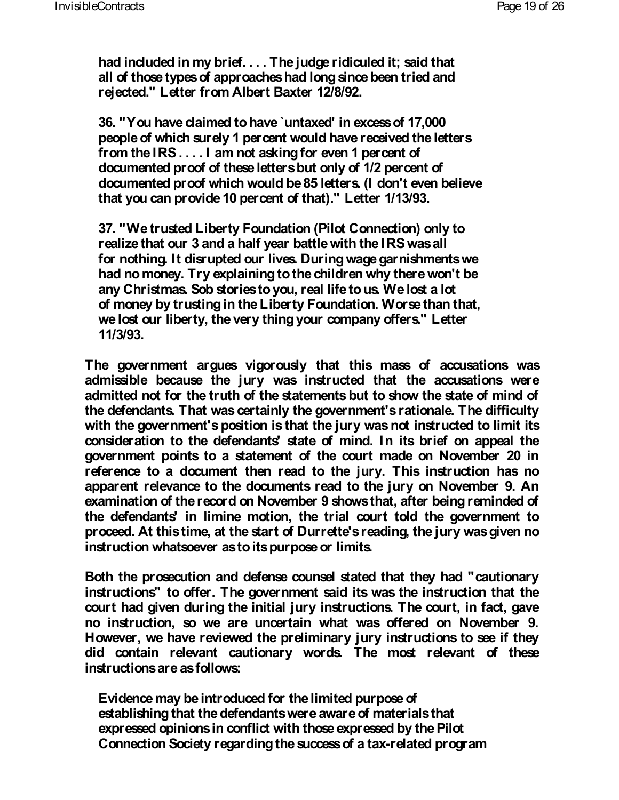**had included in my brief. . . . The judge ridiculed it; said that all of those types of approaches had long since been tried and rejected." Letter from Albert Baxter 12/8/92.**

 **36. "You have claimed to have `untaxed' in excess of 17,000 people of which surely 1 percent would have received the letters from the IRS . . . . I am not asking for even 1 percent of documented proof of these letters but only of 1/2 percent of documented proof which would be 85 letters. (I don't even believe that you can provide 10 percent of that)." Letter 1/13/93.**

 **37. "We trusted Liberty Foundation (Pilot Connection) only to realize that our 3 and a half year battle with the IRS was all for nothing. It disrupted our lives. During wage garnishments we had no money. Try explaining to the children why there won't be any Christmas. Sob stories to you, real life to us. We lost a lot of money by trusting in the Liberty Foundation. Worse than that, we lost our liberty, the very thing your company offers." Letter 11/3/93.**

**The government argues vigorously that this mass of accusations was admissible because the jury was instructed that the accusations were admitted not for the truth of the statements but to show the state of mind of the defendants. That was certainly the government's rationale. The difficulty with the government's position is that the jury was not instructed to limit its consideration to the defendants' state of mind. In its brief on appeal the government points to a statement of the court made on November 20 in reference to a document then read to the jury. This instruction has no apparent relevance to the documents read to the jury on November 9. An examination of the record on November 9 shows that, after being reminded of the defendants' in limine motion, the trial court told the government to proceed. At this time, at the start of Durrette's reading, the jury was given no instruction whatsoever as to its purpose or limits.**

**Both the prosecution and defense counsel stated that they had "cautionary instructions" to offer. The government said its was the instruction that the court had given during the initial jury instructions. The court, in fact, gave no instruction, so we are uncertain what was offered on November 9. However, we have reviewed the preliminary jury instructions to see if they did contain relevant cautionary words. The most relevant of these instructions are as follows:**

 **Evidence may be introduced for the limited purpose of establishing that the defendants were aware of materials that expressed opinions in conflict with those expressed by the Pilot Connection Society regarding the success of a tax-related program**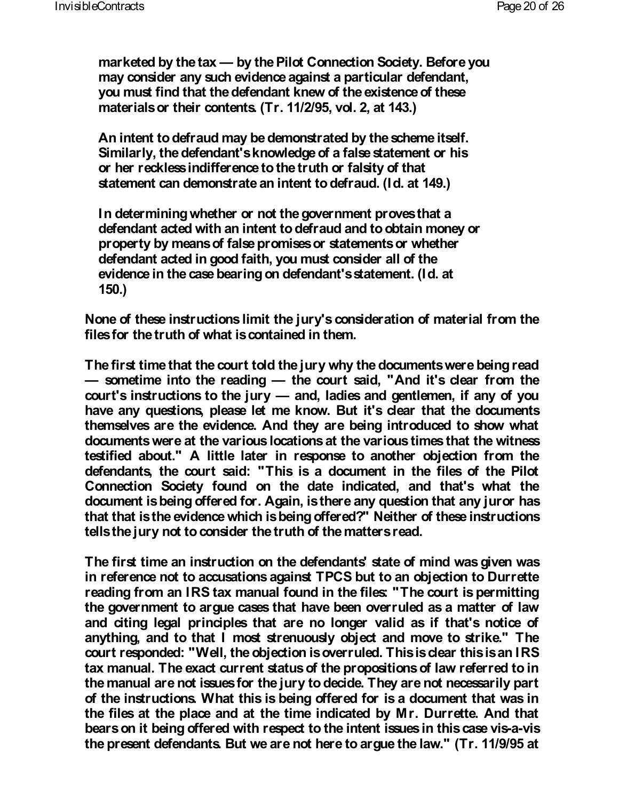**marketed by the tax — by the Pilot Connection Society. Before you may consider any such evidence against a particular defendant, you must find that the defendant knew of the existence of these materials or their contents. (Tr. 11/2/95, vol. 2, at 143.)**

 **An intent to defraud may be demonstrated by the scheme itself. Similarly, the defendant's knowledge of a false statement or his or her reckless indifference to the truth or falsity of that statement can demonstrate an intent to defraud. (Id. at 149.)**

 **In determining whether or not the government proves that a defendant acted with an intent to defraud and to obtain money or property by means of false promises or statements or whether defendant acted in good faith, you must consider all of the evidence in the case bearing on defendant's statement. (Id. at 150.)**

**None of these instructions limit the jury's consideration of material from the files for the truth of what is contained in them.**

**The first time that the court told the jury why the documents were being read — sometime into the reading — the court said, "And it's clear from the court's instructions to the jury — and, ladies and gentlemen, if any of you have any questions, please let me know. But it's clear that the documents themselves are the evidence. And they are being introduced to show what documents were at the various locations at the various times that the witness testified about." A little later in response to another objection from the defendants, the court said: "This is a document in the files of the Pilot Connection Society found on the date indicated, and that's what the document is being offered for. Again, is there any question that any juror has that that is the evidence which is being offered?" Neither of these instructions tells the jury not to consider the truth of the matters read.**

**The first time an instruction on the defendants' state of mind was given was in reference not to accusations against TPCS but to an objection to Durrette reading from an IRS tax manual found in the files: "The court is permitting the government to argue cases that have been overruled as a matter of law and citing legal principles that are no longer valid as if that's notice of anything, and to that I most strenuously object and move to strike." The court responded: "Well, the objection is overruled. This is clear this is an IRS tax manual. The exact current status of the propositions of law referred to in the manual are not issues for the jury to decide. They are not necessarily part of the instructions. What this is being offered for is a document that was in the files at the place and at the time indicated by Mr. Durrette. And that bears on it being offered with respect to the intent issues in this case vis-a-vis the present defendants. But we are not here to argue the law." (Tr. 11/9/95 at**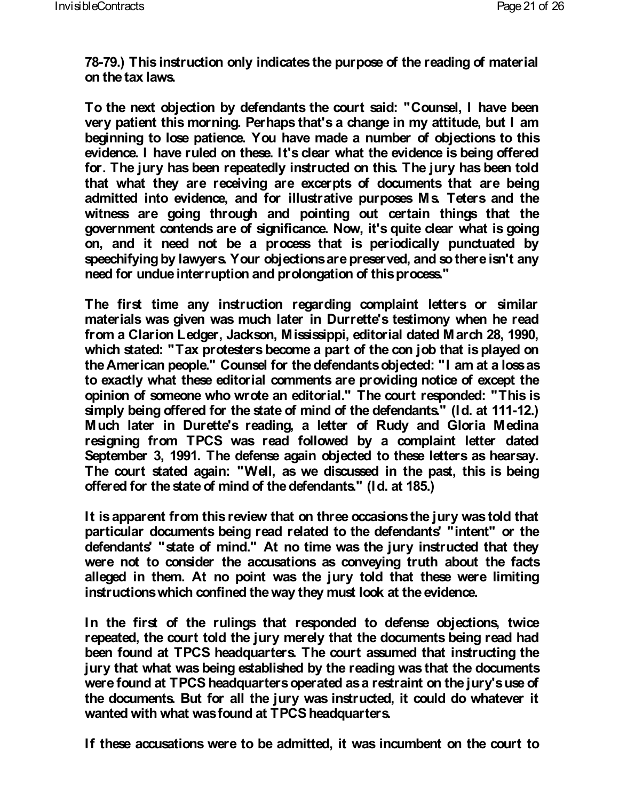**78-79.) This instruction only indicates the purpose of the reading of material on the tax laws.**

**To the next objection by defendants the court said: "Counsel, I have been very patient this morning. Perhaps that's a change in my attitude, but I am beginning to lose patience. You have made a number of objections to this evidence. I have ruled on these. It's clear what the evidence is being offered for. The jury has been repeatedly instructed on this. The jury has been told that what they are receiving are excerpts of documents that are being admitted into evidence, and for illustrative purposes Ms. Teters and the witness are going through and pointing out certain things that the government contends are of significance. Now, it's quite clear what is going on, and it need not be a process that is periodically punctuated by speechifying by lawyers. Your objections are preserved, and so there isn't any need for undue interruption and prolongation of this process."**

**The first time any instruction regarding complaint letters or similar materials was given was much later in Durrette's testimony when he read from a Clarion Ledger, Jackson, Mississippi, editorial dated March 28, 1990, which stated: "Tax protesters become a part of the con job that is played on the American people." Counsel for the defendants objected: "I am at a loss as to exactly what these editorial comments are providing notice of except the opinion of someone who wrote an editorial." The court responded: "This is simply being offered for the state of mind of the defendants." (Id. at 111-12.) Much later in Durette's reading, a letter of Rudy and Gloria Medina resigning from TPCS was read followed by a complaint letter dated September 3, 1991. The defense again objected to these letters as hearsay. The court stated again: "Well, as we discussed in the past, this is being offered for the state of mind of the defendants." (Id. at 185.)**

**It is apparent from this review that on three occasions the jury was told that particular documents being read related to the defendants' "intent" or the defendants' "state of mind." At no time was the jury instructed that they were not to consider the accusations as conveying truth about the facts alleged in them. At no point was the jury told that these were limiting instructions which confined the way they must look at the evidence.**

**In the first of the rulings that responded to defense objections, twice repeated, the court told the jury merely that the documents being read had been found at TPCS headquarters. The court assumed that instructing the jury that what was being established by the reading was that the documents were found at TPCS headquarters operated as a restraint on the jury's use of the documents. But for all the jury was instructed, it could do whatever it wanted with what was found at TPCS headquarters.**

**If these accusations were to be admitted, it was incumbent on the court to**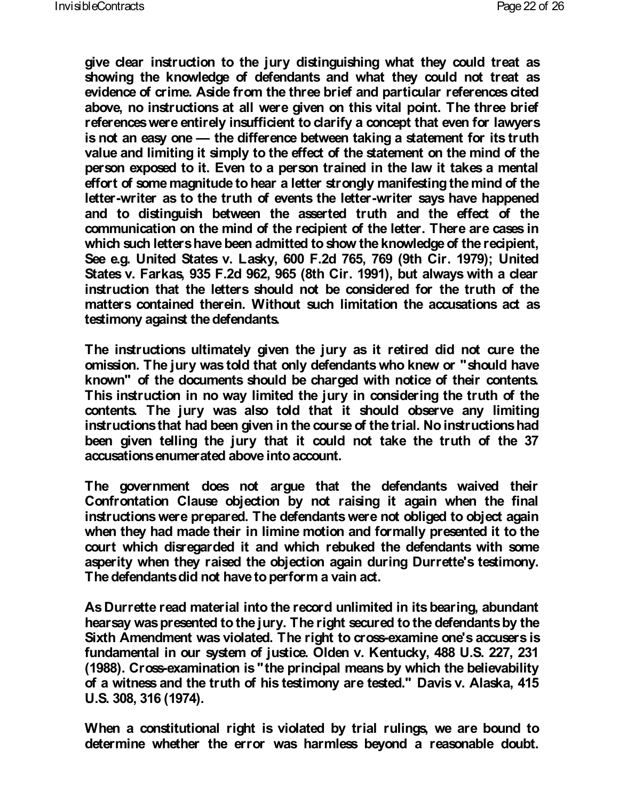**give clear instruction to the jury distinguishing what they could treat as showing the knowledge of defendants and what they could not treat as evidence of crime. Aside from the three brief and particular references cited above, no instructions at all were given on this vital point. The three brief references were entirely insufficient to clarify a concept that even for lawyers is not an easy one — the difference between taking a statement for its truth value and limiting it simply to the effect of the statement on the mind of the person exposed to it. Even to a person trained in the law it takes a mental effort of some magnitude to hear a letter strongly manifesting the mind of the letter-writer as to the truth of events the letter-writer says have happened and to distinguish between the asserted truth and the effect of the communication on the mind of the recipient of the letter. There are cases in which such letters have been admitted to show the knowledge of the recipient, See e.g. United States v. Lasky, 600 F.2d 765, 769 (9th Cir. 1979); United States v. Farkas, 935 F.2d 962, 965 (8th Cir. 1991), but always with a clear instruction that the letters should not be considered for the truth of the matters contained therein. Without such limitation the accusations act as testimony against the defendants.**

**The instructions ultimately given the jury as it retired did not cure the omission. The jury was told that only defendants who knew or "should have known" of the documents should be charged with notice of their contents. This instruction in no way limited the jury in considering the truth of the contents. The jury was also told that it should observe any limiting instructions that had been given in the course of the trial. No instructions had been given telling the jury that it could not take the truth of the 37 accusations enumerated above into account.**

**The government does not argue that the defendants waived their Confrontation Clause objection by not raising it again when the final instructions were prepared. The defendants were not obliged to object again when they had made their in limine motion and formally presented it to the court which disregarded it and which rebuked the defendants with some asperity when they raised the objection again during Durrette's testimony. The defendants did not have to perform a vain act.**

**As Durrette read material into the record unlimited in its bearing, abundant hearsay was presented to the jury. The right secured to the defendants by the Sixth Amendment was violated. The right to cross-examine one's accusers is fundamental in our system of justice. Olden v. Kentucky, 488 U.S. 227, 231 (1988). Cross-examination is "the principal means by which the believability of a witness and the truth of his testimony are tested." Davis v. Alaska, 415 U.S. 308, 316 (1974).**

**When a constitutional right is violated by trial rulings, we are bound to determine whether the error was harmless beyond a reasonable doubt.**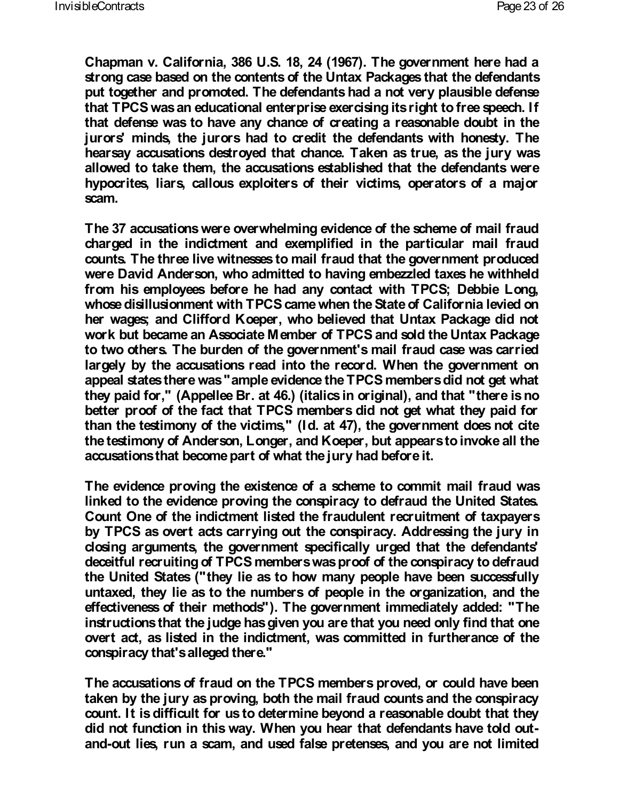**Chapman v. California, 386 U.S. 18, 24 (1967). The government here had a strong case based on the contents of the Untax Packages that the defendants put together and promoted. The defendants had a not very plausible defense that TPCS was an educational enterprise exercising its right to free speech. If that defense was to have any chance of creating a reasonable doubt in the jurors' minds, the jurors had to credit the defendants with honesty. The hearsay accusations destroyed that chance. Taken as true, as the jury was allowed to take them, the accusations established that the defendants were hypocrites, liars, callous exploiters of their victims, operators of a major scam.**

**The 37 accusations were overwhelming evidence of the scheme of mail fraud charged in the indictment and exemplified in the particular mail fraud counts. The three live witnesses to mail fraud that the government produced were David Anderson, who admitted to having embezzled taxes he withheld from his employees before he had any contact with TPCS; Debbie Long, whose disillusionment with TPCS came when the State of California levied on her wages; and Clifford Koeper, who believed that Untax Package did not work but became an Associate Member of TPCS and sold the Untax Package to two others. The burden of the government's mail fraud case was carried largely by the accusations read into the record. When the government on appeal states there was "ample evidence the TPCS members did not get what they paid for," (Appellee Br. at 46.) (italics in original), and that "there is no better proof of the fact that TPCS members did not get what they paid for than the testimony of the victims," (Id. at 47), the government does not cite the testimony of Anderson, Longer, and Koeper, but appears to invoke all the accusations that become part of what the jury had before it.**

**The evidence proving the existence of a scheme to commit mail fraud was linked to the evidence proving the conspiracy to defraud the United States. Count One of the indictment listed the fraudulent recruitment of taxpayers by TPCS as overt acts carrying out the conspiracy. Addressing the jury in closing arguments, the government specifically urged that the defendants' deceitful recruiting of TPCS members was proof of the conspiracy to defraud the United States ("they lie as to how many people have been successfully untaxed, they lie as to the numbers of people in the organization, and the effectiveness of their methods"). The government immediately added: "The instructions that the judge has given you are that you need only find that one overt act, as listed in the indictment, was committed in furtherance of the conspiracy that's alleged there."**

**The accusations of fraud on the TPCS members proved, or could have been taken by the jury as proving, both the mail fraud counts and the conspiracy count. It is difficult for us to determine beyond a reasonable doubt that they did not function in this way. When you hear that defendants have told outand-out lies, run a scam, and used false pretenses, and you are not limited**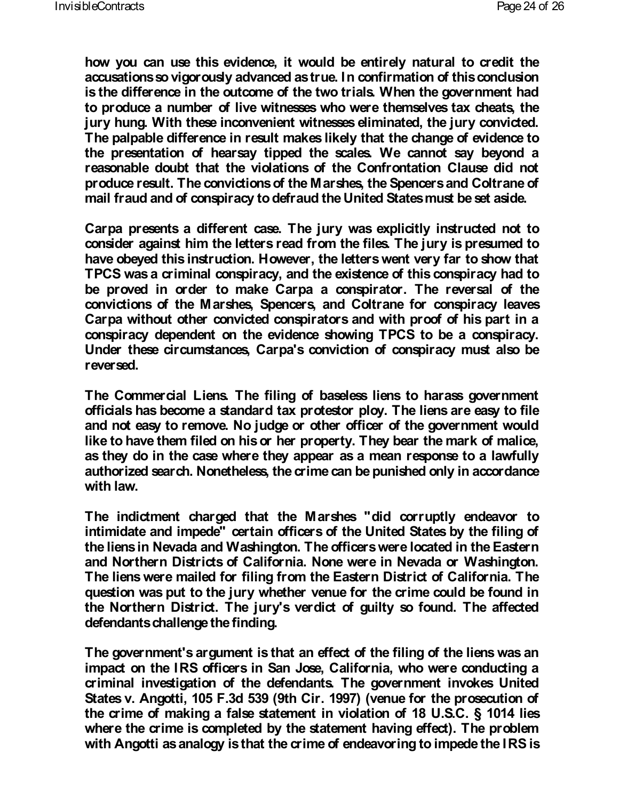**how you can use this evidence, it would be entirely natural to credit the accusations so vigorously advanced as true. In confirmation of this conclusion is the difference in the outcome of the two trials. When the government had to produce a number of live witnesses who were themselves tax cheats, the jury hung. With these inconvenient witnesses eliminated, the jury convicted. The palpable difference in result makes likely that the change of evidence to the presentation of hearsay tipped the scales. We cannot say beyond a reasonable doubt that the violations of the Confrontation Clause did not produce result. The convictions of the Marshes, the Spencers and Coltrane of mail fraud and of conspiracy to defraud the United States must be set aside.**

**Carpa presents a different case. The jury was explicitly instructed not to consider against him the letters read from the files. The jury is presumed to have obeyed this instruction. However, the letters went very far to show that TPCS was a criminal conspiracy, and the existence of this conspiracy had to be proved in order to make Carpa a conspirator. The reversal of the convictions of the Marshes, Spencers, and Coltrane for conspiracy leaves Carpa without other convicted conspirators and with proof of his part in a conspiracy dependent on the evidence showing TPCS to be a conspiracy. Under these circumstances, Carpa's conviction of conspiracy must also be reversed.**

**The Commercial Liens. The filing of baseless liens to harass government officials has become a standard tax protestor ploy. The liens are easy to file and not easy to remove. No judge or other officer of the government would like to have them filed on his or her property. They bear the mark of malice, as they do in the case where they appear as a mean response to a lawfully authorized search. Nonetheless, the crime can be punished only in accordance with law.**

**The indictment charged that the Marshes "did corruptly endeavor to intimidate and impede" certain officers of the United States by the filing of the liens in Nevada and Washington. The officers were located in the Eastern and Northern Districts of California. None were in Nevada or Washington. The liens were mailed for filing from the Eastern District of California. The question was put to the jury whether venue for the crime could be found in the Northern District. The jury's verdict of guilty so found. The affected defendants challenge the finding.**

**The government's argument is that an effect of the filing of the liens was an impact on the IRS officers in San Jose, California, who were conducting a criminal investigation of the defendants. The government invokes United States v. Angotti, 105 F.3d 539 (9th Cir. 1997) (venue for the prosecution of the crime of making a false statement in violation of 18 U.S.C. § 1014 lies where the crime is completed by the statement having effect). The problem with Angotti as analogy is that the crime of endeavoring to impede the IRS is**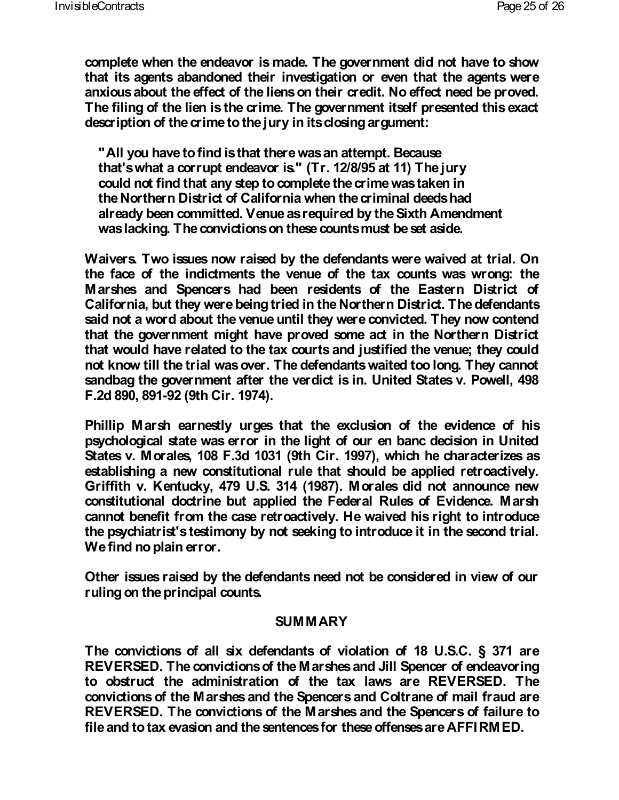**complete when the endeavor is made. The government did not have to show that its agents abandoned their investigation or even that the agents were anxious about the effect of the liens on their credit. No effect need be proved. The filing of the lien is the crime. The government itself presented this exact description of the crime to the jury in its closing argument:**

 **"All you have to find is that there was an attempt. Because that's what a corrupt endeavor is." (Tr. 12/8/95 at 11) The jury could not find that any step to complete the crime was taken in the Northern District of California when the criminal deeds had already been committed. Venue as required by the Sixth Amendment was lacking. The convictions on these counts must be set aside.**

**Waivers. Two issues now raised by the defendants were waived at trial. On the face of the indictments the venue of the tax counts was wrong: the Marshes and Spencers had been residents of the Eastern District of California, but they were being tried in the Northern District. The defendants said not a word about the venue until they were convicted. They now contend that the government might have proved some act in the Northern District that would have related to the tax courts and justified the venue; they could not know till the trial was over. The defendants waited too long. They cannot sandbag the government after the verdict is in. United States v. Powell, 498 F.2d 890, 891-92 (9th Cir. 1974).**

**Phillip Marsh earnestly urges that the exclusion of the evidence of his psychological state was error in the light of our en banc decision in United States v. Morales, 108 F.3d 1031 (9th Cir. 1997), which he characterizes as establishing a new constitutional rule that should be applied retroactively. Griffith v. Kentucky, 479 U.S. 314 (1987). Morales did not announce new constitutional doctrine but applied the Federal Rules of Evidence. Marsh cannot benefit from the case retroactively. He waived his right to introduce the psychiatrist's testimony by not seeking to introduce it in the second trial. We find no plain error.**

**Other issues raised by the defendants need not be considered in view of our ruling on the principal counts.**

### **SUMMARY**

**The convictions of all six defendants of violation of 18 U.S.C. § 371 are REVERSED. The convictions of the Marshes and Jill Spencer of endeavoring to obstruct the administration of the tax laws are REVERSED. The convictions of the Marshes and the Spencers and Coltrane of mail fraud are REVERSED. The convictions of the Marshes and the Spencers of failure to file and to tax evasion and the sentences for these offenses are AFFIRMED.**